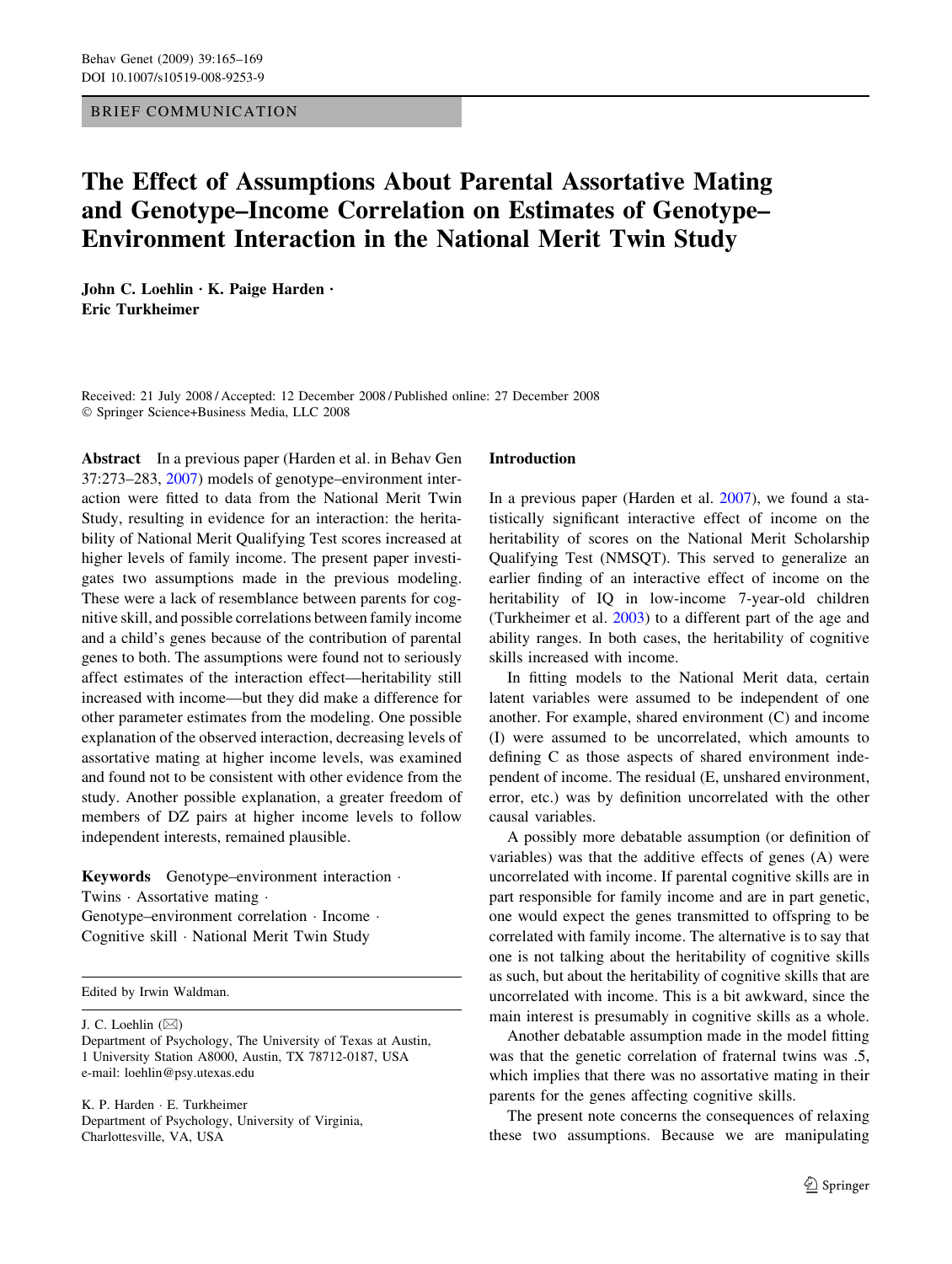# BRIEF COMMUNICATION

# The Effect of Assumptions About Parental Assortative Mating and Genotype–Income Correlation on Estimates of Genotype– Environment Interaction in the National Merit Twin Study

John C. Loehlin · K. Paige Harden · Eric Turkheimer

Received: 21 July 2008 / Accepted: 12 December 2008 / Published online: 27 December 2008 ! Springer Science+Business Media, LLC 2008

Abstract In a previous paper (Harden et al. in Behav Gen 37:273–283, [2007\)](#page-4-0) models of genotype–environment interaction were fitted to data from the National Merit Twin Study, resulting in evidence for an interaction: the heritability of National Merit Qualifying Test scores increased at higher levels of family income. The present paper investigates two assumptions made in the previous modeling. These were a lack of resemblance between parents for cognitive skill, and possible correlations between family income and a child's genes because of the contribution of parental genes to both. The assumptions were found not to seriously affect estimates of the interaction effect—heritability still increased with income—but they did make a difference for other parameter estimates from the modeling. One possible explanation of the observed interaction, decreasing levels of assortative mating at higher income levels, was examined and found not to be consistent with other evidence from the study. Another possible explanation, a greater freedom of members of DZ pairs at higher income levels to follow independent interests, remained plausible.

Keywords Genotype–environment interaction · Twins · Assortative mating · Genotype–environment correlation · Income · Cognitive skill · National Merit Twin Study

Edited by Irwin Waldman.

J. C. Loehlin  $(\boxtimes)$ 

K. P. Harden · E. Turkheimer Department of Psychology, University of Virginia, Charlottesville, VA, USA

#### Introduction

In a previous paper (Harden et al. [2007](#page-4-0)), we found a statistically significant interactive effect of income on the heritability of scores on the National Merit Scholarship Qualifying Test (NMSQT). This served to generalize an earlier finding of an interactive effect of income on the heritability of IQ in low-income 7-year-old children (Turkheimer et al. [2003\)](#page-4-0) to a different part of the age and ability ranges. In both cases, the heritability of cognitive skills increased with income.

In fitting models to the National Merit data, certain latent variables were assumed to be independent of one another. For example, shared environment (C) and income (I) were assumed to be uncorrelated, which amounts to defining C as those aspects of shared environment independent of income. The residual (E, unshared environment, error, etc.) was by definition uncorrelated with the other causal variables.

A possibly more debatable assumption (or definition of variables) was that the additive effects of genes (A) were uncorrelated with income. If parental cognitive skills are in part responsible for family income and are in part genetic, one would expect the genes transmitted to offspring to be correlated with family income. The alternative is to say that one is not talking about the heritability of cognitive skills as such, but about the heritability of cognitive skills that are uncorrelated with income. This is a bit awkward, since the main interest is presumably in cognitive skills as a whole.

Another debatable assumption made in the model fitting was that the genetic correlation of fraternal twins was .5, which implies that there was no assortative mating in their parents for the genes affecting cognitive skills.

The present note concerns the consequences of relaxing these two assumptions. Because we are manipulating

Department of Psychology, The University of Texas at Austin, 1 University Station A8000, Austin, TX 78712-0187, USA e-mail: loehlin@psy.utexas.edu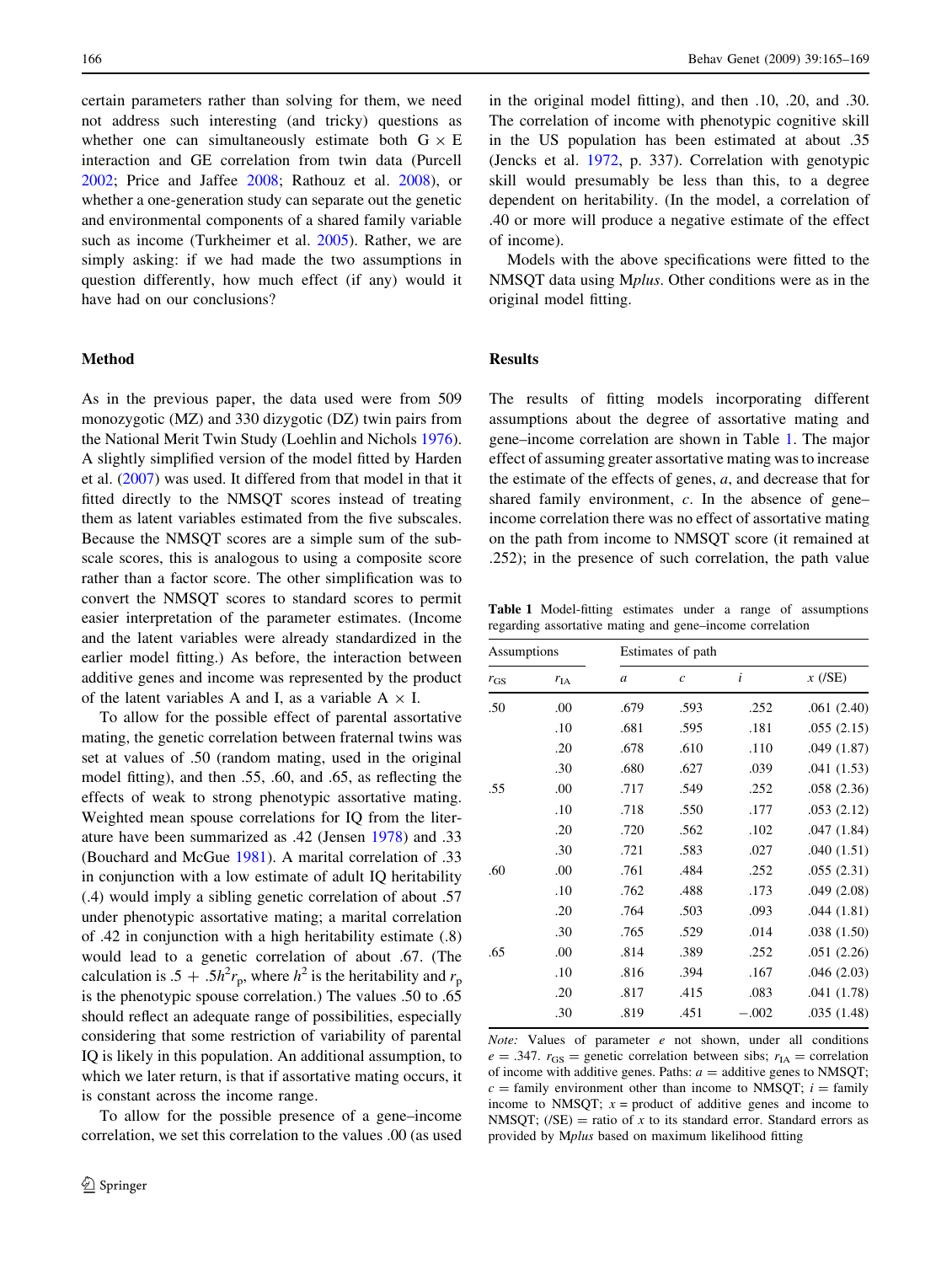certain parameters rather than solving for them, we need not address such interesting (and tricky) questions as whether one can simultaneously estimate both  $G \times E$ interaction and GE correlation from twin data (Purcell [2002;](#page-4-0) Price and Jaffee [2008;](#page-4-0) Rathouz et al. [2008\)](#page-4-0), or whether a one-generation study can separate out the genetic and environmental components of a shared family variable such as income (Turkheimer et al. [2005](#page-4-0)). Rather, we are simply asking: if we had made the two assumptions in question differently, how much effect (if any) would it have had on our conclusions?

# Method

As in the previous paper, the data used were from 509 monozygotic (MZ) and 330 dizygotic (DZ) twin pairs from the National Merit Twin Study (Loehlin and Nichols [1976](#page-4-0)). A slightly simplified version of the model fitted by Harden et al. ([2007\)](#page-4-0) was used. It differed from that model in that it fitted directly to the NMSQT scores instead of treating them as latent variables estimated from the five subscales. Because the NMSQT scores are a simple sum of the subscale scores, this is analogous to using a composite score rather than a factor score. The other simplification was to convert the NMSQT scores to standard scores to permit easier interpretation of the parameter estimates. (Income and the latent variables were already standardized in the earlier model fitting.) As before, the interaction between additive genes and income was represented by the product of the latent variables A and I, as a variable  $A \times I$ .

To allow for the possible effect of parental assortative mating, the genetic correlation between fraternal twins was set at values of .50 (random mating, used in the original model fitting), and then .55, .60, and .65, as reflecting the effects of weak to strong phenotypic assortative mating. Weighted mean spouse correlations for IQ from the literature have been summarized as .42 (Jensen [1978](#page-4-0)) and .33 (Bouchard and McGue [1981](#page-4-0)). A marital correlation of .33 in conjunction with a low estimate of adult IQ heritability (.4) would imply a sibling genetic correlation of about .57 under phenotypic assortative mating; a marital correlation of .42 in conjunction with a high heritability estimate (.8) would lead to a genetic correlation of about .67. (The calculation is .5 +  $.5h^2r_p$ , where  $h^2$  is the heritability and  $r_p$ is the phenotypic spouse correlation.) The values .50 to .65 should reflect an adequate range of possibilities, especially considering that some restriction of variability of parental IQ is likely in this population. An additional assumption, to which we later return, is that if assortative mating occurs, it is constant across the income range.

<span id="page-1-0"></span>To allow for the possible presence of a gene–income correlation, we set this correlation to the values .00 (as used in the original model fitting), and then .10, .20, and .30. The correlation of income with phenotypic cognitive skill in the US population has been estimated at about .35 (Jencks et al. [1972](#page-4-0), p. 337). Correlation with genotypic skill would presumably be less than this, to a degree dependent on heritability. (In the model, a correlation of .40 or more will produce a negative estimate of the effect of income).

Models with the above specifications were fitted to the NMSQT data using Mplus. Other conditions were as in the original model fitting.

### Results

The results of fitting models incorporating different assumptions about the degree of assortative mating and gene–income correlation are shown in Table [1](#page-1-0). The major effect of assuming greater assortative mating was to increase the estimate of the effects of genes, a, and decrease that for shared family environment,  $c$ . In the absence of gene– income correlation there was no effect of assortative mating on the path from income to NMSQT score (it remained at .252); in the presence of such correlation, the path value

Table 1 Model-fitting estimates under a range of assumptions regarding assortative mating and gene–income correlation

| Assumptions |              | Estimates of path |               |           |             |  |  |
|-------------|--------------|-------------------|---------------|-----------|-------------|--|--|
| $r_{GS}$    | $r_{\rm IA}$ | a                 | $\mathfrak c$ | $\dot{i}$ | $x$ (/SE)   |  |  |
| .50         | .00          | .679              | .593          | .252      | .061(2.40)  |  |  |
|             | .10          | .681              | .595          | .181      | .055(2.15)  |  |  |
|             | .20          | .678              | .610          | .110      | .049(1.87)  |  |  |
|             | .30          | .680              | .627          | .039      | .041(1.53)  |  |  |
| .55         | .00          | .717              | .549          | .252      | .058(2.36)  |  |  |
|             | .10          | .718              | .550          | .177      | .053(2.12)  |  |  |
|             | .20          | .720              | .562          | .102      | .047(1.84)  |  |  |
|             | .30          | .721              | .583          | .027      | .040(1.51)  |  |  |
| .60         | .00          | .761              | .484          | .252      | .055(2.31)  |  |  |
|             | .10          | .762              | .488          | .173      | .049(2.08)  |  |  |
|             | .20          | .764              | .503          | .093      | .044(1.81)  |  |  |
|             | .30          | .765              | .529          | .014      | .038(1.50)  |  |  |
| .65         | .00          | .814              | .389          | .252      | .051(2.26)  |  |  |
|             | .10          | .816              | .394          | .167      | .046(2.03)  |  |  |
|             | .20          | .817              | .415          | .083      | .041 (1.78) |  |  |
|             | .30          | .819              | .451          | $-.002$   | .035(1.48)  |  |  |
|             |              |                   |               |           |             |  |  |

*Note:* Values of parameter  $e$  not shown, under all conditions  $e = 0.347$ .  $r_{GS} =$  genetic correlation between sibs;  $r_{IA} =$  correlation of income with additive genes. Paths:  $a =$  additive genes to NMSQT;  $c =$  family environment other than income to NMSQT;  $i =$  family income to NMSQT;  $x =$  product of additive genes and income to NMSQT;  $(\sqrt{SE})$  = ratio of x to its standard error. Standard errors as provided by Mplus based on maximum likelihood fitting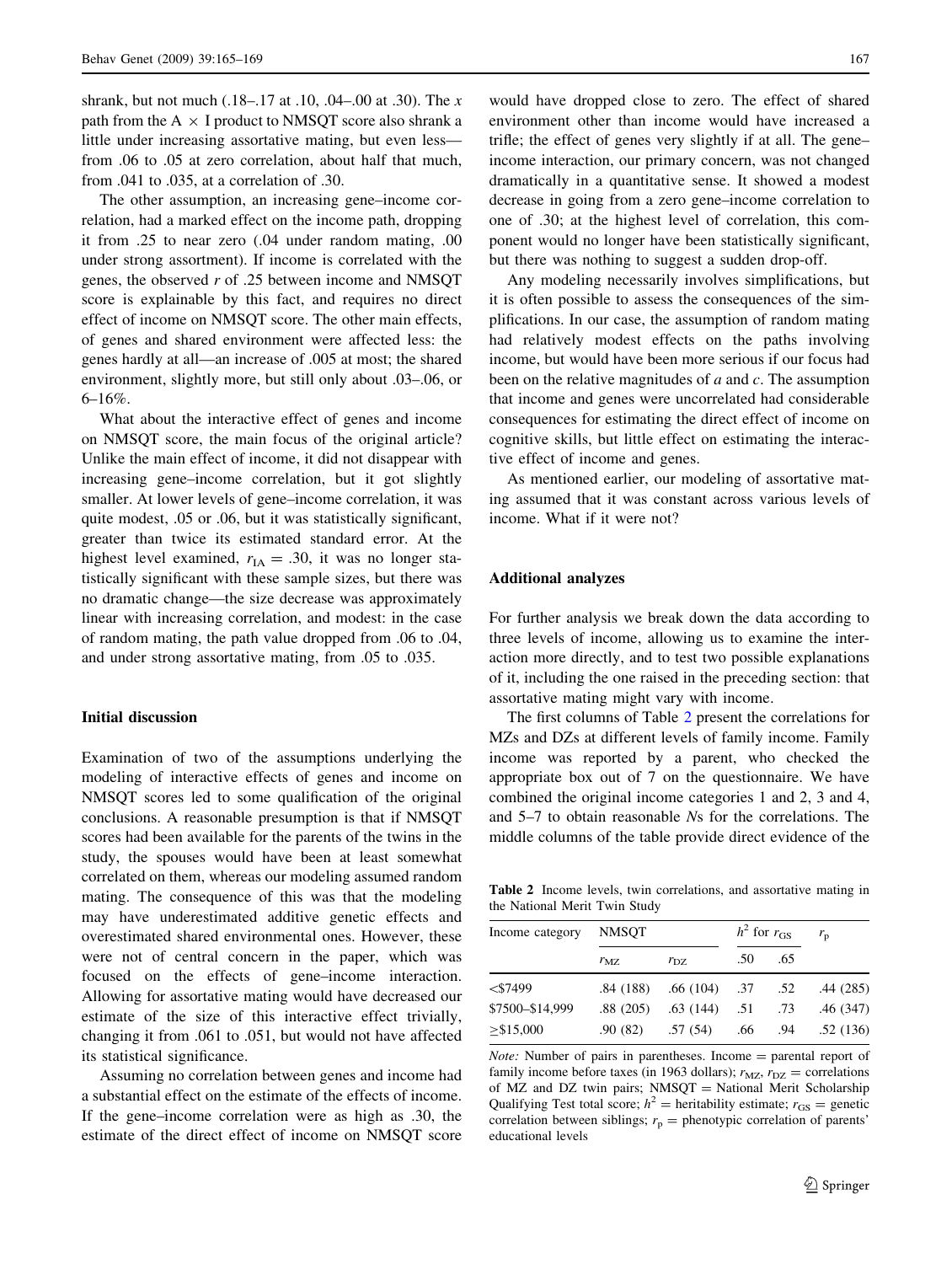shrank, but not much (.18–.17 at .10, .04–.00 at .30). The x path from the  $A \times I$  product to NMSQT score also shrank a little under increasing assortative mating, but even less from .06 to .05 at zero correlation, about half that much, from .041 to .035, at a correlation of .30.

The other assumption, an increasing gene–income correlation, had a marked effect on the income path, dropping it from .25 to near zero (.04 under random mating, .00 under strong assortment). If income is correlated with the genes, the observed  $r$  of .25 between income and NMSQT score is explainable by this fact, and requires no direct effect of income on NMSQT score. The other main effects, of genes and shared environment were affected less: the genes hardly at all—an increase of .005 at most; the shared environment, slightly more, but still only about .03–.06, or 6–16%.

What about the interactive effect of genes and income on NMSQT score, the main focus of the original article? Unlike the main effect of income, it did not disappear with increasing gene–income correlation, but it got slightly smaller. At lower levels of gene–income correlation, it was quite modest, .05 or .06, but it was statistically significant, greater than twice its estimated standard error. At the highest level examined,  $r_{IA} = .30$ , it was no longer statistically significant with these sample sizes, but there was no dramatic change—the size decrease was approximately linear with increasing correlation, and modest: in the case of random mating, the path value dropped from .06 to .04, and under strong assortative mating, from .05 to .035.

# Initial discussion

Examination of two of the assumptions underlying the modeling of interactive effects of genes and income on NMSQT scores led to some qualification of the original conclusions. A reasonable presumption is that if NMSQT scores had been available for the parents of the twins in the study, the spouses would have been at least somewhat correlated on them, whereas our modeling assumed random mating. The consequence of this was that the modeling may have underestimated additive genetic effects and overestimated shared environmental ones. However, these were not of central concern in the paper, which was focused on the effects of gene–income interaction. Allowing for assortative mating would have decreased our estimate of the size of this interactive effect trivially, changing it from .061 to .051, but would not have affected its statistical significance.

<span id="page-2-0"></span>Assuming no correlation between genes and income had a substantial effect on the estimate of the effects of income. If the gene–income correlation were as high as .30, the estimate of the direct effect of income on NMSQT score

would have dropped close to zero. The effect of shared environment other than income would have increased a trifle; the effect of genes very slightly if at all. The gene– income interaction, our primary concern, was not changed dramatically in a quantitative sense. It showed a modest decrease in going from a zero gene–income correlation to one of .30; at the highest level of correlation, this component would no longer have been statistically significant, but there was nothing to suggest a sudden drop-off.

Any modeling necessarily involves simplifications, but it is often possible to assess the consequences of the simplifications. In our case, the assumption of random mating had relatively modest effects on the paths involving income, but would have been more serious if our focus had been on the relative magnitudes of  $a$  and  $c$ . The assumption that income and genes were uncorrelated had considerable consequences for estimating the direct effect of income on cognitive skills, but little effect on estimating the interactive effect of income and genes.

As mentioned earlier, our modeling of assortative mating assumed that it was constant across various levels of income. What if it were not?

#### Additional analyzes

For further analysis we break down the data according to three levels of income, allowing us to examine the interaction more directly, and to test two possible explanations of it, including the one raised in the preceding section: that assortative mating might vary with income.

The first columns of Table [2](#page-2-0) present the correlations for MZs and DZs at different levels of family income. Family income was reported by a parent, who checked the appropriate box out of 7 on the questionnaire. We have combined the original income categories 1 and 2, 3 and 4, and 5–7 to obtain reasonable Ns for the correlations. The middle columns of the table provide direct evidence of the

Table 2 Income levels, twin correlations, and assortative mating in the National Merit Twin Study

| Income category | <b>NMSOT</b> |                             | $h^2$ for $r_{\text{GS}}$ |     | $r_{\rm p}$ |
|-----------------|--------------|-----------------------------|---------------------------|-----|-------------|
|                 | $r_{\rm MZ}$ | $r_{\rm DZ}$                | .50                       | .65 |             |
| $<$ \$7499      |              | $.84(188)$ $.66(104)$ $.37$ |                           | .52 | .44(285)    |
| \$7500-\$14,999 | .88(205)     | .63(144)                    | .51                       | .73 | .46(347)    |
| > \$15,000      | .90(82)      | .57(54)                     | .66                       | .94 | .52(136)    |

*Note:* Number of pairs in parentheses. Income  $=$  parental report of family income before taxes (in 1963 dollars);  $r_{\rm MZ}$ ,  $r_{\rm DZ}$  = correlations of MZ and DZ twin pairs; NMSQT = National Merit Scholarship Qualifying Test total score;  $h^2$  = heritability estimate;  $r_{\text{GS}}$  = genetic correlation between siblings;  $r_p$  = phenotypic correlation of parents' educational levels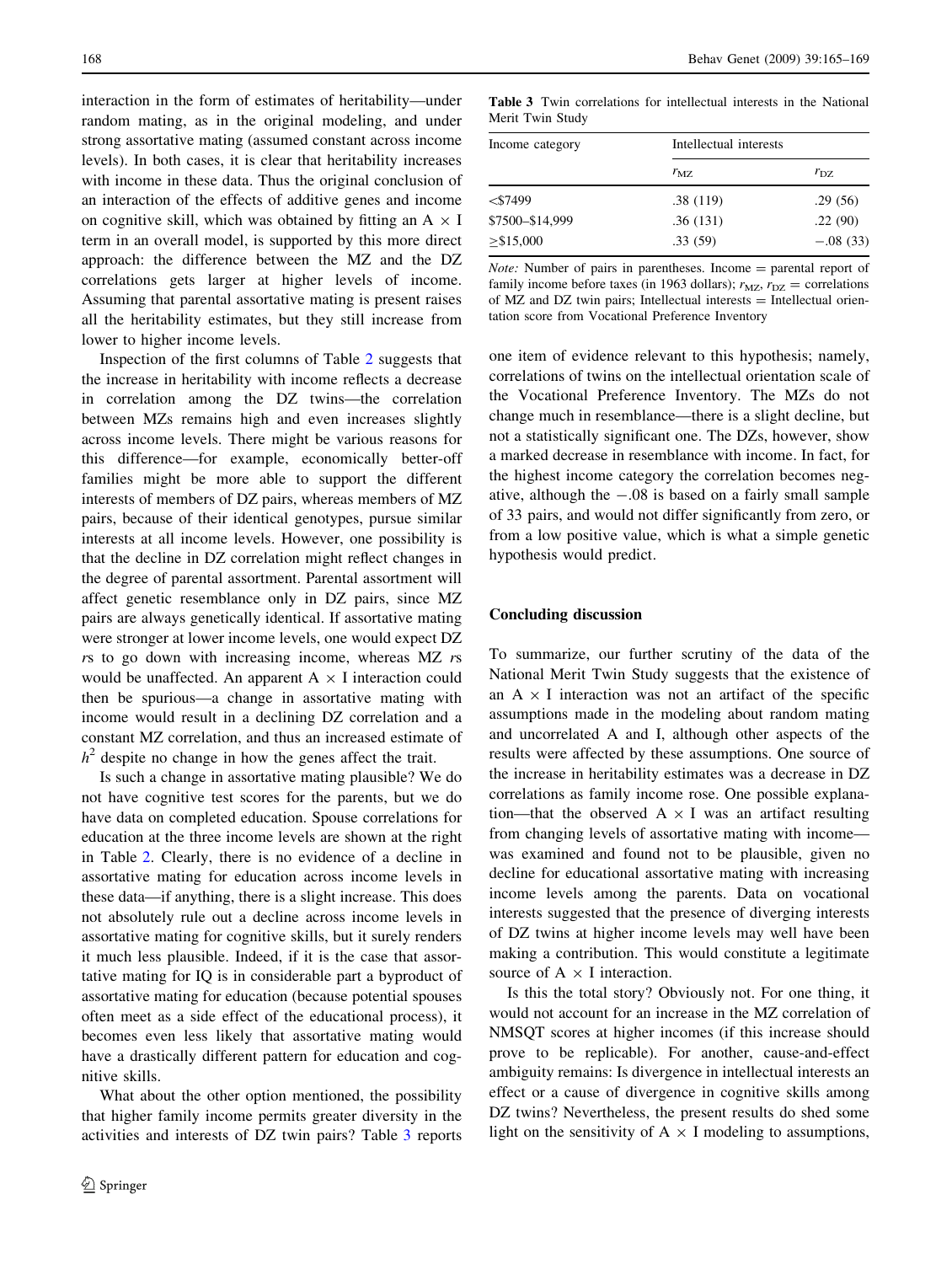interaction in the form of estimates of heritability—under random mating, as in the original modeling, and under strong assortative mating (assumed constant across income levels). In both cases, it is clear that heritability increases with income in these data. Thus the original conclusion of an interaction of the effects of additive genes and income on cognitive skill, which was obtained by fitting an  $A \times I$ term in an overall model, is supported by this more direct approach: the difference between the MZ and the DZ correlations gets larger at higher levels of income. Assuming that parental assortative mating is present raises all the heritability estimates, but they still increase from lower to higher income levels.

Inspection of the first columns of Table [2](#page-2-0) suggests that the increase in heritability with income reflects a decrease in correlation among the DZ twins—the correlation between MZs remains high and even increases slightly across income levels. There might be various reasons for this difference—for example, economically better-off families might be more able to support the different interests of members of DZ pairs, whereas members of MZ pairs, because of their identical genotypes, pursue similar interests at all income levels. However, one possibility is that the decline in DZ correlation might reflect changes in the degree of parental assortment. Parental assortment will affect genetic resemblance only in DZ pairs, since MZ pairs are always genetically identical. If assortative mating were stronger at lower income levels, one would expect DZ rs to go down with increasing income, whereas MZ rs would be unaffected. An apparent  $A \times I$  interaction could then be spurious—a change in assortative mating with income would result in a declining DZ correlation and a constant MZ correlation, and thus an increased estimate of  $h^2$  despite no change in how the genes affect the trait.

Is such a change in assortative mating plausible? We do not have cognitive test scores for the parents, but we do have data on completed education. Spouse correlations for education at the three income levels are shown at the right in Table [2](#page-2-0). Clearly, there is no evidence of a decline in assortative mating for education across income levels in these data—if anything, there is a slight increase. This does not absolutely rule out a decline across income levels in assortative mating for cognitive skills, but it surely renders it much less plausible. Indeed, if it is the case that assortative mating for IQ is in considerable part a byproduct of assortative mating for education (because potential spouses often meet as a side effect of the educational process), it becomes even less likely that assortative mating would have a drastically different pattern for education and cognitive skills.

<span id="page-3-0"></span>What about the other option mentioned, the possibility that higher family income permits greater diversity in the activities and interests of DZ twin pairs? Table [3](#page-3-0) reports

Table 3 Twin correlations for intellectual interests in the National Merit Twin Study

| Income category | Intellectual interests |              |
|-----------------|------------------------|--------------|
|                 | $r_{\rm MZ}$           | $r_{\rm DZ}$ |
| $<$ \$7499      | .38(119)               | .29(56)      |
| \$7500-\$14,999 | .36(131)               | .22(90)      |
| > \$15,000      | .33(59)                | $-.08(33)$   |

Note: Number of pairs in parentheses. Income = parental report of family income before taxes (in 1963 dollars);  $r_{\text{MZ}}$ ,  $r_{\text{DZ}}$  = correlations of  $MZ$  and  $DZ$  twin pairs; Intellectual interests  $=$  Intellectual orientation score from Vocational Preference Inventory

one item of evidence relevant to this hypothesis; namely, correlations of twins on the intellectual orientation scale of the Vocational Preference Inventory. The MZs do not change much in resemblance—there is a slight decline, but not a statistically significant one. The DZs, however, show a marked decrease in resemblance with income. In fact, for the highest income category the correlation becomes negative, although the  $-.08$  is based on a fairly small sample of 33 pairs, and would not differ significantly from zero, or from a low positive value, which is what a simple genetic hypothesis would predict.

#### Concluding discussion

To summarize, our further scrutiny of the data of the National Merit Twin Study suggests that the existence of an  $A \times I$  interaction was not an artifact of the specific assumptions made in the modeling about random mating and uncorrelated A and I, although other aspects of the results were affected by these assumptions. One source of the increase in heritability estimates was a decrease in DZ correlations as family income rose. One possible explanation—that the observed  $A \times I$  was an artifact resulting from changing levels of assortative mating with income was examined and found not to be plausible, given no decline for educational assortative mating with increasing income levels among the parents. Data on vocational interests suggested that the presence of diverging interests of DZ twins at higher income levels may well have been making a contribution. This would constitute a legitimate source of  $A \times I$  interaction.

Is this the total story? Obviously not. For one thing, it would not account for an increase in the MZ correlation of NMSQT scores at higher incomes (if this increase should prove to be replicable). For another, cause-and-effect ambiguity remains: Is divergence in intellectual interests an effect or a cause of divergence in cognitive skills among DZ twins? Nevertheless, the present results do shed some light on the sensitivity of  $A \times I$  modeling to assumptions,